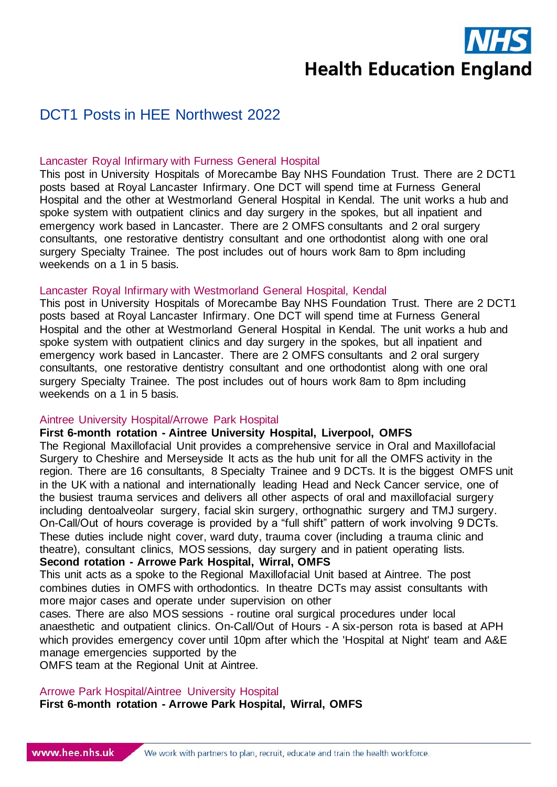

# DCT1 Posts in HEE Northwest 2022

### Lancaster Royal Infirmary with Furness General Hospital

This post in University Hospitals of Morecambe Bay NHS Foundation Trust. There are 2 DCT1 posts based at Royal Lancaster Infirmary. One DCT will spend time at Furness General Hospital and the other at Westmorland General Hospital in Kendal. The unit works a hub and spoke system with outpatient clinics and day surgery in the spokes, but all inpatient and emergency work based in Lancaster. There are 2 OMFS consultants and 2 oral surgery consultants, one restorative dentistry consultant and one orthodontist along with one oral surgery Specialty Trainee. The post includes out of hours work 8am to 8pm including weekends on a 1 in 5 basis.

### Lancaster Royal Infirmary with Westmorland General Hospital, Kendal

This post in University Hospitals of Morecambe Bay NHS Foundation Trust. There are 2 DCT1 posts based at Royal Lancaster Infirmary. One DCT will spend time at Furness General Hospital and the other at Westmorland General Hospital in Kendal. The unit works a hub and spoke system with outpatient clinics and day surgery in the spokes, but all inpatient and emergency work based in Lancaster. There are 2 OMFS consultants and 2 oral surgery consultants, one restorative dentistry consultant and one orthodontist along with one oral surgery Specialty Trainee. The post includes out of hours work 8am to 8pm including weekends on a 1 in 5 basis.

#### Aintree University Hospital/Arrowe Park Hospital

### **First 6-month rotation - Aintree University Hospital, Liverpool, OMFS**

The Regional Maxillofacial Unit provides a comprehensive service in Oral and Maxillofacial Surgery to Cheshire and Merseyside It acts as the hub unit for all the OMFS activity in the region. There are 16 consultants, 8 Specialty Trainee and 9 DCTs. It is the biggest OMFS unit in the UK with a national and internationally leading Head and Neck Cancer service, one of the busiest trauma services and delivers all other aspects of oral and maxillofacial surgery including dentoalveolar surgery, facial skin surgery, orthognathic surgery and TMJ surgery. On-Call/Out of hours coverage is provided by a "full shift" pattern of work involving 9 DCTs. These duties include night cover, ward duty, trauma cover (including a trauma clinic and theatre), consultant clinics, MOS sessions, day surgery and in patient operating lists.

# **Second rotation - Arrowe Park Hospital, Wirral, OMFS**

This unit acts as a spoke to the Regional Maxillofacial Unit based at Aintree. The post combines duties in OMFS with orthodontics. In theatre DCTs may assist consultants with more major cases and operate under supervision on other

cases. There are also MOS sessions - routine oral surgical procedures under local anaesthetic and outpatient clinics. On-Call/Out of Hours - A six-person rota is based at APH which provides emergency cover until 10pm after which the 'Hospital at Night' team and A&E manage emergencies supported by the

OMFS team at the Regional Unit at Aintree.

#### Arrowe Park Hospital/Aintree University Hospital

**First 6-month rotation - Arrowe Park Hospital, Wirral, OMFS**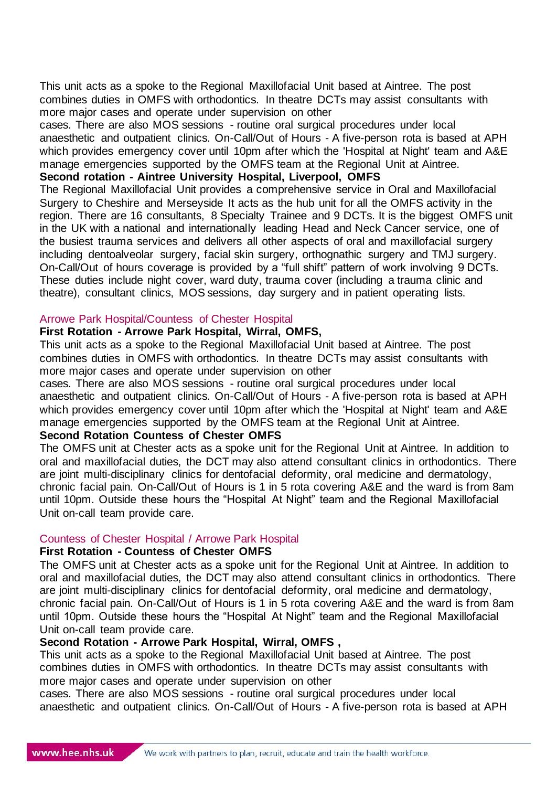This unit acts as a spoke to the Regional Maxillofacial Unit based at Aintree. The post combines duties in OMFS with orthodontics. In theatre DCTs may assist consultants with more major cases and operate under supervision on other

cases. There are also MOS sessions - routine oral surgical procedures under local anaesthetic and outpatient clinics. On-Call/Out of Hours - A five-person rota is based at APH which provides emergency cover until 10pm after which the 'Hospital at Night' team and A&E manage emergencies supported by the OMFS team at the Regional Unit at Aintree.

### **Second rotation - Aintree University Hospital, Liverpool, OMFS**

The Regional Maxillofacial Unit provides a comprehensive service in Oral and Maxillofacial Surgery to Cheshire and Merseyside It acts as the hub unit for all the OMFS activity in the region. There are 16 consultants, 8 Specialty Trainee and 9 DCTs. It is the biggest OMFS unit in the UK with a national and internationally leading Head and Neck Cancer service, one of the busiest trauma services and delivers all other aspects of oral and maxillofacial surgery including dentoalveolar surgery, facial skin surgery, orthognathic surgery and TMJ surgery. On-Call/Out of hours coverage is provided by a "full shift" pattern of work involving 9 DCTs. These duties include night cover, ward duty, trauma cover (including a trauma clinic and theatre), consultant clinics, MOS sessions, day surgery and in patient operating lists.

# Arrowe Park Hospital/Countess of Chester Hospital

# **First Rotation - Arrowe Park Hospital, Wirral, OMFS,**

This unit acts as a spoke to the Regional Maxillofacial Unit based at Aintree. The post combines duties in OMFS with orthodontics. In theatre DCTs may assist consultants with more major cases and operate under supervision on other

cases. There are also MOS sessions - routine oral surgical procedures under local anaesthetic and outpatient clinics. On-Call/Out of Hours - A five-person rota is based at APH which provides emergency cover until 10pm after which the 'Hospital at Night' team and A&E manage emergencies supported by the OMFS team at the Regional Unit at Aintree.

# **Second Rotation Countess of Chester OMFS**

The OMFS unit at Chester acts as a spoke unit for the Regional Unit at Aintree. In addition to oral and maxillofacial duties, the DCT may also attend consultant clinics in orthodontics. There are joint multi-disciplinary clinics for dentofacial deformity, oral medicine and dermatology, chronic facial pain. On-Call/Out of Hours is 1 in 5 rota covering A&E and the ward is from 8am until 10pm. Outside these hours the "Hospital At Night" team and the Regional Maxillofacial Unit on-call team provide care.

### Countess of Chester Hospital / Arrowe Park Hospital

### **First Rotation - Countess of Chester OMFS**

The OMFS unit at Chester acts as a spoke unit for the Regional Unit at Aintree. In addition to oral and maxillofacial duties, the DCT may also attend consultant clinics in orthodontics. There are joint multi-disciplinary clinics for dentofacial deformity, oral medicine and dermatology, chronic facial pain. On-Call/Out of Hours is 1 in 5 rota covering A&E and the ward is from 8am until 10pm. Outside these hours the "Hospital At Night" team and the Regional Maxillofacial Unit on-call team provide care.

### **Second Rotation - Arrowe Park Hospital, Wirral, OMFS ,**

This unit acts as a spoke to the Regional Maxillofacial Unit based at Aintree. The post combines duties in OMFS with orthodontics. In theatre DCTs may assist consultants with more major cases and operate under supervision on other

cases. There are also MOS sessions - routine oral surgical procedures under local anaesthetic and outpatient clinics. On-Call/Out of Hours - A five-person rota is based at APH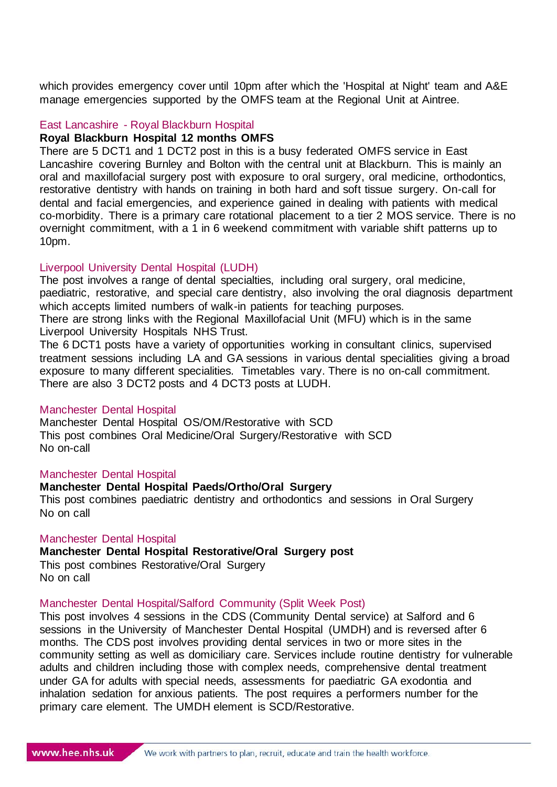which provides emergency cover until 10pm after which the 'Hospital at Night' team and A&E manage emergencies supported by the OMFS team at the Regional Unit at Aintree.

### East Lancashire - Royal Blackburn Hospital

### **Royal Blackburn Hospital 12 months OMFS**

There are 5 DCT1 and 1 DCT2 post in this is a busy federated OMFS service in East Lancashire covering Burnley and Bolton with the central unit at Blackburn. This is mainly an oral and maxillofacial surgery post with exposure to oral surgery, oral medicine, orthodontics, restorative dentistry with hands on training in both hard and soft tissue surgery. On-call for dental and facial emergencies, and experience gained in dealing with patients with medical co-morbidity. There is a primary care rotational placement to a tier 2 MOS service. There is no overnight commitment, with a 1 in 6 weekend commitment with variable shift patterns up to 10pm.

### Liverpool University Dental Hospital (LUDH)

The post involves a range of dental specialties, including oral surgery, oral medicine, paediatric, restorative, and special care dentistry, also involving the oral diagnosis department which accepts limited numbers of walk-in patients for teaching purposes.

There are strong links with the Regional Maxillofacial Unit (MFU) which is in the same Liverpool University Hospitals NHS Trust.

The 6 DCT1 posts have a variety of opportunities working in consultant clinics, supervised treatment sessions including LA and GA sessions in various dental specialities giving a broad exposure to many different specialities. Timetables vary. There is no on-call commitment. There are also 3 DCT2 posts and 4 DCT3 posts at LUDH.

#### Manchester Dental Hospital

Manchester Dental Hospital OS/OM/Restorative with SCD This post combines Oral Medicine/Oral Surgery/Restorative with SCD No on-call

#### Manchester Dental Hospital

# **Manchester Dental Hospital Paeds/Ortho/Oral Surgery**

This post combines paediatric dentistry and orthodontics and sessions in Oral Surgery No on call

#### Manchester Dental Hospital

### **Manchester Dental Hospital Restorative/Oral Surgery post**

This post combines Restorative/Oral Surgery No on call

#### Manchester Dental Hospital/Salford Community (Split Week Post)

This post involves 4 sessions in the CDS (Community Dental service) at Salford and 6 sessions in the University of Manchester Dental Hospital (UMDH) and is reversed after 6 months. The CDS post involves providing dental services in two or more sites in the community setting as well as domiciliary care. Services include routine dentistry for vulnerable adults and children including those with complex needs, comprehensive dental treatment under GA for adults with special needs, assessments for paediatric GA exodontia and inhalation sedation for anxious patients. The post requires a performers number for the primary care element. The UMDH element is SCD/Restorative.